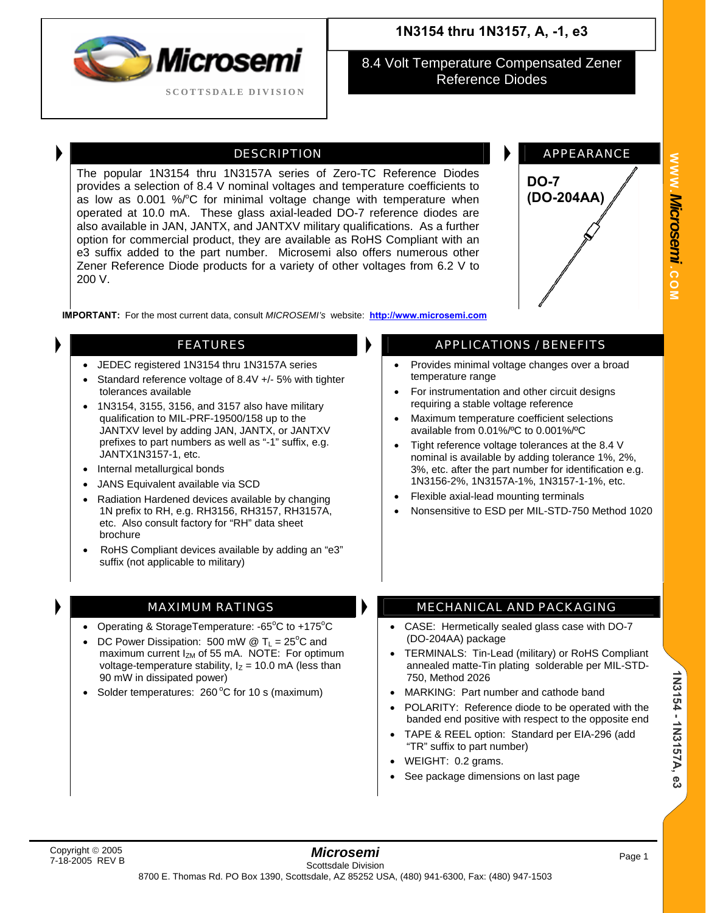

8.4 Volt Temperature Compensated Zener Reference Diodes

The popular 1N3154 thru 1N3157A series of Zero-TC Reference Diodes provides a selection of 8.4 V nominal voltages and temperature coefficients to as low as 0.001 %/°C for minimal voltage change with temperature when operated at 10.0 mA. These glass axial-leaded DO-7 reference diodes are also available in JAN, JANTX, and JANTXV military qualifications. As a further option for commercial product, they are available as RoHS Compliant with an e3 suffix added to the part number. Microsemi also offers numerous other Zener Reference Diode products for a variety of other voltages from 6.2 V to 200 V.



**WWW.**

*Microsemi .*

**COM**

**IMPORTANT:** For the most current data, consult *MICROSEMI's* website: **[http://www.microsemi.com](http://www.microsemi.com/)**

- JEDEC registered 1N3154 thru 1N3157A series
- Standard reference voltage of 8.4V +/- 5% with tighter tolerances available
- 1N3154, 3155, 3156, and 3157 also have military qualification to MIL-PRF-19500/158 up to the JANTXV level by adding JAN, JANTX, or JANTXV prefixes to part numbers as well as "-1" suffix, e.g. JANTX1N3157-1, etc.
- Internal metallurgical bonds
- JANS Equivalent available via SCD
- Radiation Hardened devices available by changing 1N prefix to RH, e.g. RH3156, RH3157, RH3157A, etc. Also consult factory for "RH" data sheet brochure
- RoHS Compliant devices available by adding an "e3" suffix (not applicable to military)

- Operating & StorageTemperature:  $-65^{\circ}$ C to  $+175^{\circ}$ C
- DC Power Dissipation: 500 mW  $\textcircled{1}$  T<sub>L</sub> = 25<sup>o</sup>C and maximum current  $I_{ZM}$  of 55 mA. NOTE: For optimum voltage-temperature stability,  $I_z = 10.0$  mA (less than 90 mW in dissipated power)
- Solder temperatures:  $260^{\circ}$ C for 10 s (maximum)

### **FEATURES APPLICATIONS / BENEFITS**

- Provides minimal voltage changes over a broad temperature range
- For instrumentation and other circuit designs requiring a stable voltage reference
- Maximum temperature coefficient selections available from 0.01%/ºC to 0.001%/ºC
- Tight reference voltage tolerances at the 8.4 V nominal is available by adding tolerance 1%, 2%, 3%, etc. after the part number for identification e.g. 1N3156-2%, 1N3157A-1%, 1N3157-1-1%, etc.
- Flexible axial-lead mounting terminals
- Nonsensitive to ESD per MIL-STD-750 Method 1020

### MAXIMUM RATINGS **MECHANICAL AND PACKAGING**

- CASE: Hermetically sealed glass case with DO-7 (DO-204AA) package
- TERMINALS: Tin-Lead (military) or RoHS Compliant annealed matte-Tin plating solderable per MIL-STD-750, Method 2026
- MARKING: Part number and cathode band
- POLARITY: Reference diode to be operated with the banded end positive with respect to the opposite end
- TAPE & REEL option: Standard per EIA-296 (add "TR" suffix to part number)
- WEIGHT: 0.2 grams.
- See package dimensions on last page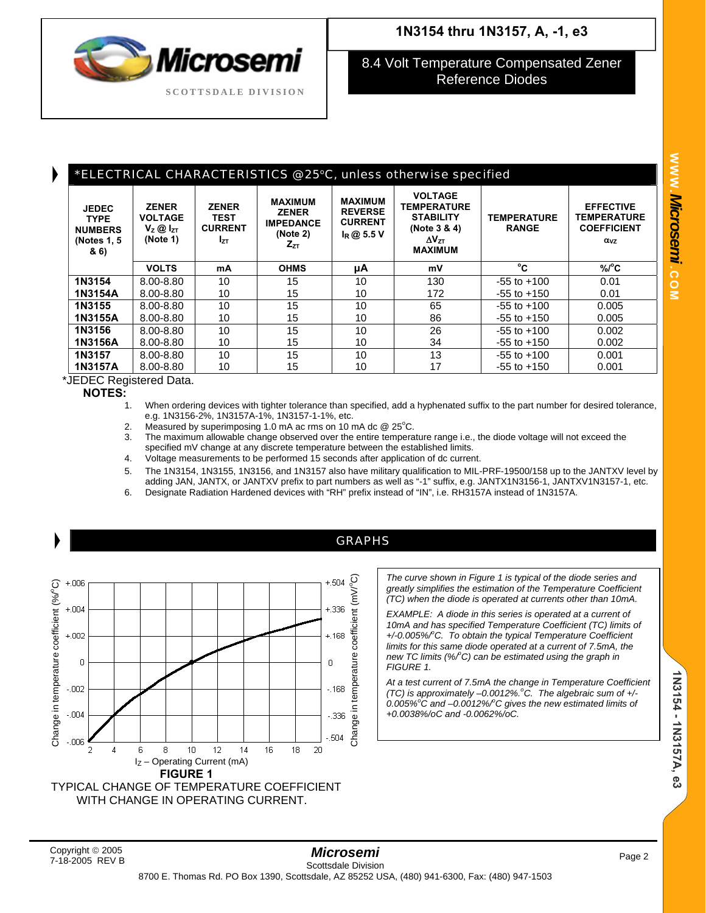8.4 Volt Temperature Compensated Zener Reference Diodes

## \*ELECTRICAL CHARACTERISTICS @ 25°C, unless otherwise specified

| <b>JEDEC</b><br><b>TYPE</b><br><b>NUMBERS</b><br>(Notes 1, 5)<br>& 6) | <b>ZENER</b><br><b>VOLTAGE</b><br>$V_z$ @ $I_{zT}$<br>(Note 1) | <b>ZENER</b><br><b>TEST</b><br><b>CURRENT</b><br><b>Iz</b> | <b>MAXIMUM</b><br><b>ZENER</b><br><b>IMPEDANCE</b><br>(Note 2)<br>$Z_{ZT}$ | <b>MAXIMUM</b><br><b>REVERSE</b><br><b>CURRENT</b><br>$I_R @ 5.5 V$ | <b>VOLTAGE</b><br><b>TEMPERATURE</b><br><b>STABILITY</b><br>(Note 3 & 4)<br>$\Delta V_{7T}$<br><b>MAXIMUM</b> | <b>TEMPERATURE</b><br><b>RANGE</b> | <b>EFFECTIVE</b><br><b>TEMPERATURE</b><br><b>COEFFICIENT</b><br>$\alpha_{VZ}$ |
|-----------------------------------------------------------------------|----------------------------------------------------------------|------------------------------------------------------------|----------------------------------------------------------------------------|---------------------------------------------------------------------|---------------------------------------------------------------------------------------------------------------|------------------------------------|-------------------------------------------------------------------------------|
|                                                                       | <b>VOLTS</b>                                                   | mA                                                         | <b>OHMS</b>                                                                | μA                                                                  | mV                                                                                                            | °C                                 | $\%$ /°C                                                                      |
| 1N3154                                                                | 8.00-8.80                                                      | 10                                                         | 15                                                                         | 10                                                                  | 130                                                                                                           | $-55$ to $+100$                    | 0.01                                                                          |
| 1N3154A                                                               | 8.00-8.80                                                      | 10                                                         | 15                                                                         | 10                                                                  | 172                                                                                                           | $-55$ to $+150$                    | 0.01                                                                          |
| 1N3155                                                                | 8.00-8.80                                                      | 10                                                         | 15                                                                         | 10                                                                  | 65                                                                                                            | $-55$ to $+100$                    | 0.005                                                                         |
| 1N3155A                                                               | 8.00-8.80                                                      | 10                                                         | 15                                                                         | 10                                                                  | 86                                                                                                            | $-55$ to $+150$                    | 0.005                                                                         |
| 1N3156                                                                | 8.00-8.80                                                      | 10                                                         | 15                                                                         | 10                                                                  | 26                                                                                                            | $-55$ to $+100$                    | 0.002                                                                         |
| 1N3156A                                                               | 8.00-8.80                                                      | 10                                                         | 15                                                                         | 10                                                                  | 34                                                                                                            | $-55$ to $+150$                    | 0.002                                                                         |
| 1N3157                                                                | 8.00-8.80                                                      | 10                                                         | 15                                                                         | 10                                                                  | 13                                                                                                            | $-55$ to $+100$                    | 0.001                                                                         |
| 1N3157A                                                               | 8.00-8.80                                                      | 10                                                         | 15                                                                         | 10                                                                  | 17                                                                                                            | $-55$ to $+150$                    | 0.001                                                                         |

### \*JEDEC Registered Data.

**NOTES:**

- When ordering devices with tighter tolerance than specified, add a hyphenated suffix to the part number for desired tolerance, e.g. 1N3156-2%, 1N3157A-1%, 1N3157-1-1%, etc.
- 2. Measured by superimposing 1.0 mA ac rms on 10 mA dc  $@25^{\circ}$ C.
- 3. The maximum allowable change observed over the entire temperature range i.e., the diode voltage will not exceed the specified mV change at any discrete temperature between the established limits.
- 4. Voltage measurements to be performed 15 seconds after application of dc current.
- 5. The 1N3154, 1N3155, 1N3156, and 1N3157 also have military qualification to MIL-PRF-19500/158 up to the JANTXV level by adding JAN, JANTX, or JANTXV prefix to part numbers as well as "-1" suffix, e.g. JANTX1N3156-1, JANTXV1N3157-1, etc.
- 6. Designate Radiation Hardened devices with "RH" prefix instead of "IN", i.e. RH3157A instead of 1N3157A.



*The curve shown in Figure 1 is typical of the diode series and greatly simplifies the estimation of the Temperature Coefficient (TC) when the diode is operated at currents other than 10mA.* 

*EXAMPLE: A diode in this series is operated at a current of 10mA and has specified Temperature Coefficient (TC) limits of +/-0.005%/<sup>o</sup> C. To obtain the typical Temperature Coefficient limits for this same diode operated at a current of 7.5mA, the new TC limits (%/<sup>o</sup> C) can be estimated using the graph in FIGURE 1.* 

*At a test current of 7.5mA the change in Temperature Coefficient (TC) is approximately –0.0012%.<sup>o</sup> C. The algebraic sum of +/- 0.005%<sup>o</sup> C and –0.0012%/<sup>o</sup> C gives the new estimated limits of +0.0038%/oC and -0.0062%/oC.*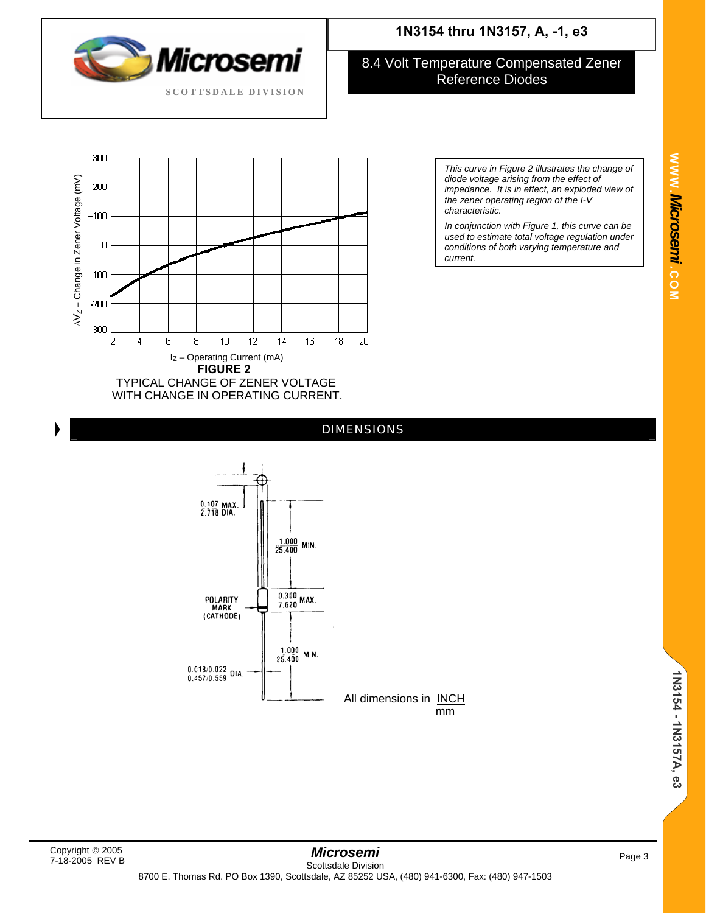

### 8.4 Volt Temperature Compensated Zener Reference Diodes



*This curve in Figure 2 illustrates the change of diode voltage arising from the effect of impedance. It is in effect, an exploded view of the zener operating region of the I-V characteristic.* 

*In conjunction with Figure 1, this curve can be used to estimate total voltage regulation under conditions of both varying temperature and current.*